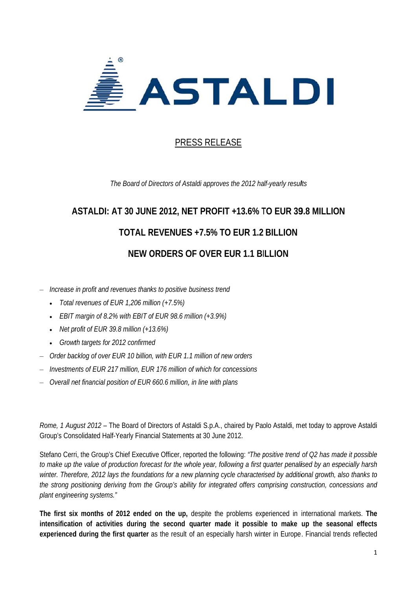

## **PRESS RELEASE**

The Board of Directors of Astaldi approves the 2012 half-yearly results

# **ASTALDI: AT 30 JUNE 2012, NET PROFIT +13.6% TO EUR 39.8 MILLION TOTAL REVENUES +7.5% TO EUR 1.2 BILLION NEW O ORDERS O OF OVER E EUR 1.1 BI ILLION**

- $-$  Increase in profit and revenues thanks to positive business trend
	- *Total revenues of E EUR 1,206 mil llion (+7.5%)*
	- *EBIT margin of 8.2 % with EBIT o of EUR 98.6 m million (+3.9%)*
	- *Net pr rofit of EUR 3 9.8 million (+1 13.6%)*
	- Growth targets for 2012 confirmed
- *EBIT margin of 8.2% with EBIT of EUR 98.6 million (+3.9%)*<br>• Net profit of EUR 39.8 million (+13.6%)<br>• Growth targets for 2012 confirmed<br> *Order backlog of over EUR 10 billion, with EUR 1.1 million of new orders*
- $-$  Investments of EUR 217 million, EUR 176 million of which for concessions
- $-$  Overall net financial position of EUR 660.6 million, in line with plans

Rome, 1 August 2012 – The Board of Directors of Astaldi S.p.A., chaired by Paolo Astaldi, met today to approve Astaldi Group's Consolidated Half-Yearly Financial Statements at 30 June 2012. i

Stefano Cerri, the Group's Chief Executive Officer, reported the following: "The positive trend of Q2 has made it possible to make up the value of production forecast for the whole year, following a first quarter penalised by an especially harsh winter. Therefore, 2012 lays the foundations for a new planning cycle characterised by additional growth, also thanks to the strong positioning deriving from the Group's ability for integrated offers comprising construction, concessions and *plant enginee ering systems s."* 

The first six months of 2012 ended on the up, despite the problems experienced in international markets. The intensification of activities during the second quarter made it possible to make up the seasonal effects experienced during the first quarter as the result of an especially harsh winter in Europe. Financial trends reflected **es**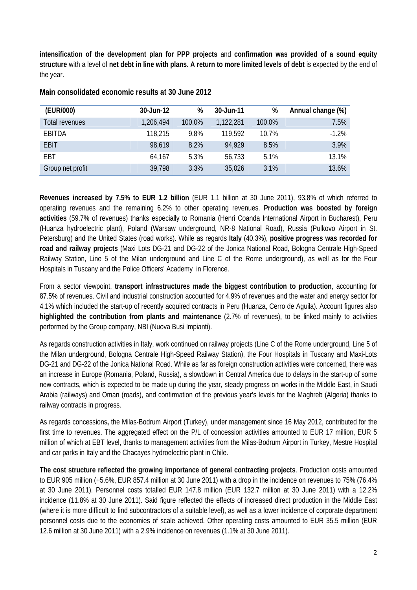**intensification of the development plan for PPP projects** and **confirmation was provided of a sound equity structure** with a level of **net debt in line with plans. A return to more limited levels of debt** is expected by the end of the year.

| (EUR/000)        | 30-Jun-12 | %      | 30-Jun-11 | %      | Annual change (%) |
|------------------|-----------|--------|-----------|--------|-------------------|
| Total revenues   | 1,206,494 | 100.0% | 1,122,281 | 100.0% | 7.5%              |
| EBITDA           | 118,215   | 9.8%   | 119,592   | 10.7%  | $-1.2%$           |
| <b>EBIT</b>      | 98.619    | 8.2%   | 94.929    | 8.5%   | 3.9%              |
| <b>FBT</b>       | 64,167    | 5.3%   | 56,733    | 5.1%   | 13.1%             |
| Group net profit | 39,798    | 3.3%   | 35,026    | 3.1%   | 13.6%             |

**Main consolidated economic results at 30 June 2012** 

**Revenues increased by 7.5% to EUR 1.2 billion** (EUR 1.1 billion at 30 June 2011), 93.8% of which referred to operating revenues and the remaining 6.2% to other operating revenues. **Production was boosted by foreign activities** (59.7% of revenues) thanks especially to Romania (Henri Coanda International Airport in Bucharest), Peru (Huanza hydroelectric plant), Poland (Warsaw underground, NR-8 National Road), Russia (Pulkovo Airport in St. Petersburg) and the United States (road works). While as regards **Italy** (40.3%), **positive progress was recorded for road and railway projects** (Maxi Lots DG-21 and DG-22 of the Jonica National Road, Bologna Centrale High-Speed Railway Station, Line 5 of the Milan underground and Line C of the Rome underground), as well as for the Four Hospitals in Tuscany and the Police Officers' Academy in Florence.

From a sector viewpoint, **transport infrastructures made the biggest contribution to production**, accounting for 87.5% of revenues. Civil and industrial construction accounted for 4.9% of revenues and the water and energy sector for 4.1% which included the start-up of recently acquired contracts in Peru (Huanza, Cerro de Aguila). Account figures also **highlighted the contribution from plants and maintenance** (2.7% of revenues), to be linked mainly to activities performed by the Group company, NBI (Nuova Busi Impianti).

As regards construction activities in Italy, work continued on railway projects (Line C of the Rome underground, Line 5 of the Milan underground, Bologna Centrale High-Speed Railway Station), the Four Hospitals in Tuscany and Maxi-Lots DG-21 and DG-22 of the Jonica National Road. While as far as foreign construction activities were concerned, there was an increase in Europe (Romania, Poland, Russia), a slowdown in Central America due to delays in the start-up of some new contracts, which is expected to be made up during the year, steady progress on works in the Middle East, in Saudi Arabia (railways) and Oman (roads), and confirmation of the previous year's levels for the Maghreb (Algeria) thanks to railway contracts in progress.

As regards concessions**,** the Milas-Bodrum Airport (Turkey), under management since 16 May 2012, contributed for the first time to revenues. The aggregated effect on the P/L of concession activities amounted to EUR 17 million, EUR 5 million of which at EBT level, thanks to management activities from the Milas-Bodrum Airport in Turkey, Mestre Hospital and car parks in Italy and the Chacayes hydroelectric plant in Chile.

**The cost structure reflected the growing importance of general contracting projects**. Production costs amounted to EUR 905 million (+5.6%, EUR 857.4 million at 30 June 2011) with a drop in the incidence on revenues to 75% (76.4% at 30 June 2011). Personnel costs totalled EUR 147.8 million (EUR 132.7 million at 30 June 2011) with a 12.2% incidence (11.8% at 30 June 2011). Said figure reflected the effects of increased direct production in the Middle East (where it is more difficult to find subcontractors of a suitable level), as well as a lower incidence of corporate department personnel costs due to the economies of scale achieved. Other operating costs amounted to EUR 35.5 million (EUR 12.6 million at 30 June 2011) with a 2.9% incidence on revenues (1.1% at 30 June 2011).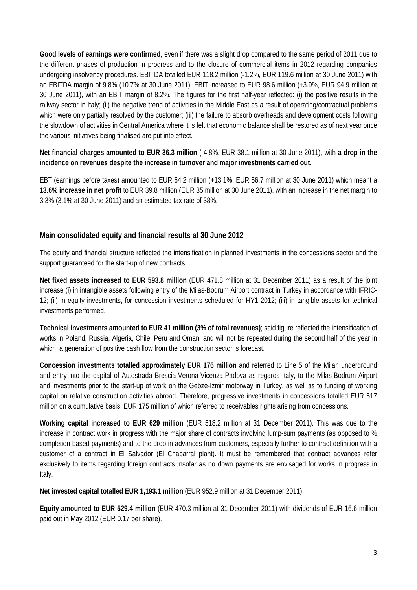**Good levels of earnings were confirmed**, even if there was a slight drop compared to the same period of 2011 due to the different phases of production in progress and to the closure of commercial items in 2012 regarding companies undergoing insolvency procedures. EBITDA totalled EUR 118.2 million (-1.2%, EUR 119.6 million at 30 June 2011) with an EBITDA margin of 9.8% (10.7% at 30 June 2011). EBIT increased to EUR 98.6 million (+3.9%, EUR 94.9 million at 30 June 2011), with an EBIT margin of 8.2%. The figures for the first half-year reflected: (i) the positive results in the railway sector in Italy; (ii) the negative trend of activities in the Middle East as a result of operating/contractual problems which were only partially resolved by the customer; (iii) the failure to absorb overheads and development costs following the slowdown of activities in Central America where it is felt that economic balance shall be restored as of next year once the various initiatives being finalised are put into effect.

**Net financial charges amounted to EUR 36.3 million** (-4.8%, EUR 38.1 million at 30 June 2011), with **a drop in the incidence on revenues despite the increase in turnover and major investments carried out.**

EBT (earnings before taxes) amounted to EUR 64.2 million (+13.1%, EUR 56.7 million at 30 June 2011) which meant a **13.6% increase in net profit** to EUR 39.8 million (EUR 35 million at 30 June 2011), with an increase in the net margin to 3.3% (3.1% at 30 June 2011) and an estimated tax rate of 38%.

#### **Main consolidated equity and financial results at 30 June 2012**

The equity and financial structure reflected the intensification in planned investments in the concessions sector and the support guaranteed for the start-up of new contracts.

**Net fixed assets increased to EUR 593.8 million** (EUR 471.8 million at 31 December 2011) as a result of the joint increase (i) in intangible assets following entry of the Milas-Bodrum Airport contract in Turkey in accordance with IFRIC-12; (ii) in equity investments, for concession investments scheduled for HY1 2012; (iii) in tangible assets for technical investments performed.

**Technical investments amounted to EUR 41 million (3% of total revenues)**; said figure reflected the intensification of works in Poland, Russia, Algeria, Chile, Peru and Oman, and will not be repeated during the second half of the year in which a generation of positive cash flow from the construction sector is forecast.

**Concession investments totalled approximately EUR 176 million** and referred to Line 5 of the Milan underground and entry into the capital of Autostrada Brescia-Verona-Vicenza-Padova as regards Italy, to the Milas-Bodrum Airport and investments prior to the start-up of work on the Gebze-Izmir motorway in Turkey, as well as to funding of working capital on relative construction activities abroad. Therefore, progressive investments in concessions totalled EUR 517 million on a cumulative basis, EUR 175 million of which referred to receivables rights arising from concessions.

**Working capital increased to EUR 629 million** (EUR 518.2 million at 31 December 2011). This was due to the increase in contract work in progress with the major share of contracts involving lump-sum payments (as opposed to % completion-based payments) and to the drop in advances from customers, especially further to contract definition with a customer of a contract in El Salvador (El Chaparral plant). It must be remembered that contract advances refer exclusively to items regarding foreign contracts insofar as no down payments are envisaged for works in progress in Italy.

**Net invested capital totalled EUR 1,193.1 million** (EUR 952.9 million at 31 December 2011).

**Equity amounted to EUR 529.4 million** (EUR 470.3 million at 31 December 2011) with dividends of EUR 16.6 million paid out in May 2012 (EUR 0.17 per share).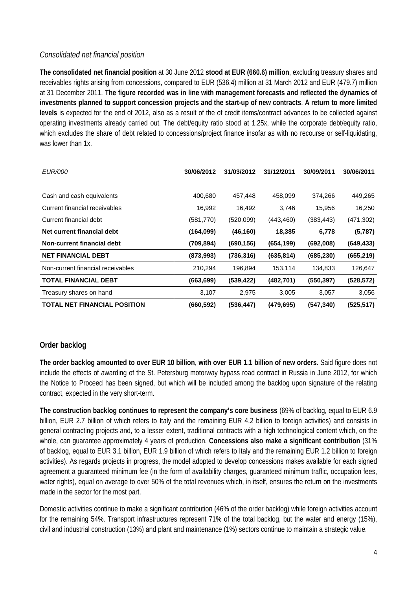#### *Consolidated net financial position*

**The consolidated net financial position** at 30 June 2012 **stood at EUR (660.6) million**, excluding treasury shares and receivables rights arising from concessions, compared to EUR (536.4) million at 31 March 2012 and EUR (479.7) million at 31 December 2011. **The figure recorded was in line with management forecasts and reflected the dynamics of investments planned to support concession projects and the start-up of new contracts**. **A return to more limited levels** is expected for the end of 2012, also as a result of the of credit items/contract advances to be collected against operating investments already carried out. The debt/equity ratio stood at 1.25x, while the corporate debt/equity ratio, which excludes the share of debt related to concessions/project finance insofar as with no recourse or self-liquidating, was lower than 1x.

| <i>EUR/000</i>                      | 30/06/2012 | 31/03/2012 | 31/12/2011 | 30/09/2011 | 30/06/2011 |
|-------------------------------------|------------|------------|------------|------------|------------|
|                                     |            |            |            |            |            |
| Cash and cash equivalents           | 400,680    | 457,448    | 458,099    | 374,266    | 449,265    |
| Current financial receivables       | 16,992     | 16,492     | 3,746      | 15,956     | 16,250     |
| Current financial debt              | (581, 770) | (520,099)  | (443, 460) | (383, 443) | (471, 302) |
| Net current financial debt          | (164,099)  | (46, 160)  | 18,385     | 6,778      | (5,787)    |
| Non-current financial debt          | (709, 894) | (690, 156) | (654, 199) | (692,008)  | (649, 433) |
| <b>NET FINANCIAL DEBT</b>           | (873,993)  | (736, 316) | (635, 814) | (685, 230) | (655, 219) |
| Non-current financial receivables   | 210,294    | 196,894    | 153,114    | 134,833    | 126,647    |
| <b>TOTAL FINANCIAL DEBT</b>         | (663, 699) | (539, 422) | (482, 701) | (550, 397) | (528, 572) |
| Treasury shares on hand             | 3,107      | 2,975      | 3,005      | 3,057      | 3,056      |
| <b>TOTAL NET FINANCIAL POSITION</b> | (660, 592) | (536, 447) | (479, 695) | (547, 340) | (525, 517) |

#### **Order backlog**

**The order backlog amounted to over EUR 10 billion**, **with over EUR 1.1 billion of new orders**. Said figure does not include the effects of awarding of the St. Petersburg motorway bypass road contract in Russia in June 2012, for which the Notice to Proceed has been signed, but which will be included among the backlog upon signature of the relating contract, expected in the very short-term.

**The construction backlog continues to represent the company's core business** (69% of backlog, equal to EUR 6.9 billion, EUR 2.7 billion of which refers to Italy and the remaining EUR 4.2 billion to foreign activities) and consists in general contracting projects and, to a lesser extent, traditional contracts with a high technological content which, on the whole, can guarantee approximately 4 years of production. **Concessions also make a significant contribution** (31% of backlog, equal to EUR 3.1 billion, EUR 1.9 billion of which refers to Italy and the remaining EUR 1.2 billion to foreign activities). As regards projects in progress, the model adopted to develop concessions makes available for each signed agreement a guaranteed minimum fee (in the form of availability charges, guaranteed minimum traffic, occupation fees, water rights), equal on average to over 50% of the total revenues which, in itself, ensures the return on the investments made in the sector for the most part.

Domestic activities continue to make a significant contribution (46% of the order backlog) while foreign activities account for the remaining 54%. Transport infrastructures represent 71% of the total backlog, but the water and energy (15%), civil and industrial construction (13%) and plant and maintenance (1%) sectors continue to maintain a strategic value.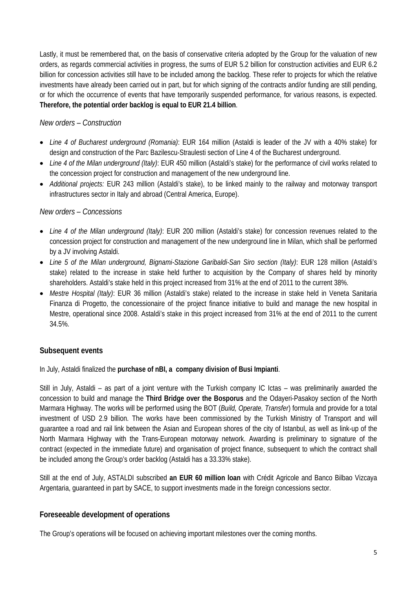Lastly, it must be remembered that, on the basis of conservative criteria adopted by the Group for the valuation of new orders, as regards commercial activities in progress, the sums of EUR 5.2 billion for construction activities and EUR 6.2 billion for concession activities still have to be included among the backlog. These refer to projects for which the relative investments have already been carried out in part, but for which signing of the contracts and/or funding are still pending, or for which the occurrence of events that have temporarily suspended performance, for various reasons, is expected. **Therefore, the potential order backlog is equal to EUR 21.4 billion**.

#### *New orders – Construction*

- *Line 4 of Bucharest underground (Romania)*: EUR 164 million (Astaldi is leader of the JV with a 40% stake) for design and construction of the Parc Bazilescu-Straulesti section of Line 4 of the Bucharest underground.
- *Line 4 of the Milan underground (Italy)*: EUR 450 million (Astaldi's stake) for the performance of civil works related to the concession project for construction and management of the new underground line.
- *Additional projects:* EUR 243 million (Astaldi's stake), to be linked mainly to the railway and motorway transport infrastructures sector in Italy and abroad (Central America, Europe).

#### *New orders – Concessions*

- *Line 4 of the Milan underground (Italy)*: EUR 200 million (Astaldi's stake) for concession revenues related to the concession project for construction and management of the new underground line in Milan, which shall be performed by a JV involving Astaldi.
- *Line 5 of the Milan underground, Bignami-Stazione Garibaldi-San Siro section (Italy)*: EUR 128 million (Astaldi's stake) related to the increase in stake held further to acquisition by the Company of shares held by minority shareholders. Astaldi's stake held in this project increased from 31% at the end of 2011 to the current 38%.
- *Mestre Hospital (Italy)*: EUR 36 million (Astaldi's stake) related to the increase in stake held in Veneta Sanitaria Finanza di Progetto, the concessionaire of the project finance initiative to build and manage the new hospital in Mestre, operational since 2008. Astaldi's stake in this project increased from 31% at the end of 2011 to the current 34.5%.

#### **Subsequent events**

In July, Astaldi finalized the **purchase of nBI, a company division of Busi Impianti**.

Still in July, Astaldi – as part of a joint venture with the Turkish company IC Ictas – was preliminarily awarded the concession to build and manage the **Third Bridge over the Bosporus** and the Odayeri-Pasakoy section of the North Marmara Highway. The works will be performed using the BOT (*Build, Operate, Transfer*) formula and provide for a total investment of USD 2.9 billion. The works have been commissioned by the Turkish Ministry of Transport and will guarantee a road and rail link between the Asian and European shores of the city of Istanbul, as well as link-up of the North Marmara Highway with the Trans-European motorway network. Awarding is preliminary to signature of the contract (expected in the immediate future) and organisation of project finance, subsequent to which the contract shall be included among the Group's order backlog (Astaldi has a 33.33% stake).

Still at the end of July, ASTALDI subscribed **an EUR 60 million loan** with Crédit Agricole and Banco Bilbao Vizcaya Argentaria, guaranteed in part by SACE, to support investments made in the foreign concessions sector.

#### **Foreseeable development of operations**

The Group's operations will be focused on achieving important milestones over the coming months.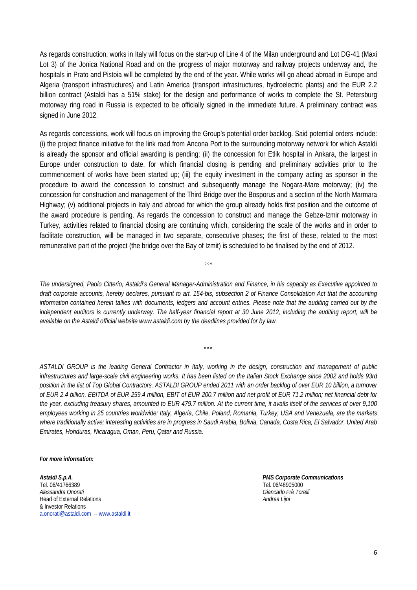As regards construction, works in Italy will focus on the start-up of Line 4 of the Milan underground and Lot DG-41 (Maxi Lot 3) of the Jonica National Road and on the progress of major motorway and railway projects underway and, the hospitals in Prato and Pistoia will be completed by the end of the year. While works will go ahead abroad in Europe and Algeria (transport infrastructures) and Latin America (transport infrastructures, hydroelectric plants) and the EUR 2.2 billion contract (Astaldi has a 51% stake) for the design and performance of works to complete the St. Petersburg motorway ring road in Russia is expected to be officially signed in the immediate future. A preliminary contract was signed in June 2012.

As regards concessions, work will focus on improving the Group's potential order backlog. Said potential orders include: (i) the project finance initiative for the link road from Ancona Port to the surrounding motorway network for which Astaldi is already the sponsor and official awarding is pending; (ii) the concession for Etlik hospital in Ankara, the largest in Europe under construction to date, for which financial closing is pending and preliminary activities prior to the commencement of works have been started up; (iii) the equity investment in the company acting as sponsor in the procedure to award the concession to construct and subsequently manage the Nogara-Mare motorway; (iv) the concession for construction and management of the Third Bridge over the Bosporus and a section of the North Marmara Highway; (v) additional projects in Italy and abroad for which the group already holds first position and the outcome of the award procedure is pending. As regards the concession to construct and manage the Gebze-Izmir motorway in Turkey, activities related to financial closing are continuing which, considering the scale of the works and in order to facilitate construction, will be managed in two separate, consecutive phases; the first of these, related to the most remunerative part of the project (the bridge over the Bay of Izmit) is scheduled to be finalised by the end of 2012.

*The undersigned, Paolo Citterio, Astaldi's General Manager-Administration and Finance, in his capacity as Executive appointed to draft corporate accounts, hereby declares, pursuant to art. 154-bis, subsection 2 of Finance Consolidation Act that the accounting information contained herein tallies with documents, ledgers and account entries. Please note that the auditing carried out by the independent auditors is currently underway. The half-year financial report at 30 June 2012, including the auditing report, will be available on the Astaldi official website www.astaldi.com by the deadlines provided for by law.* 

°°°

*°°°* 

*ASTALDI GROUP is the leading General Contractor in Italy, working in the design, construction and management of public infrastructures and large-scale civil engineering works. It has been listed on the Italian Stock Exchange since 2002 and holds 93rd position in the list of Top Global Contractors. ASTALDI GROUP ended 2011 with an order backlog of over EUR 10 billion, a turnover of EUR 2.4 billion, EBITDA of EUR 259.4 million, EBIT of EUR 200.7 million and net profit of EUR 71.2 million; net financial debt for the year, excluding treasury shares, amounted to EUR 479.7 million. At the current time, it avails itself of the services of over 9,100 employees working in 25 countries worldwide: Italy, Algeria, Chile, Poland, Romania, Turkey, USA and Venezuela, are the markets where traditionally active; interesting activities are in progress in Saudi Arabia, Bolivia, Canada, Costa Rica, El Salvador, United Arab Emirates, Honduras, Nicaragua, Oman, Peru, Qatar and Russia.* 

*For more information:* 

*Astaldi S.p.A. PMS Corporate Communications*  Tel. 06/41766389 Tel. 06/48905000 *Alessandra Onorati Giancarlo Frè Torelli* Head of External Relations *Andrea Lijoi* & Investor Relations a.onorati@astaldi.com -- www.astaldi.it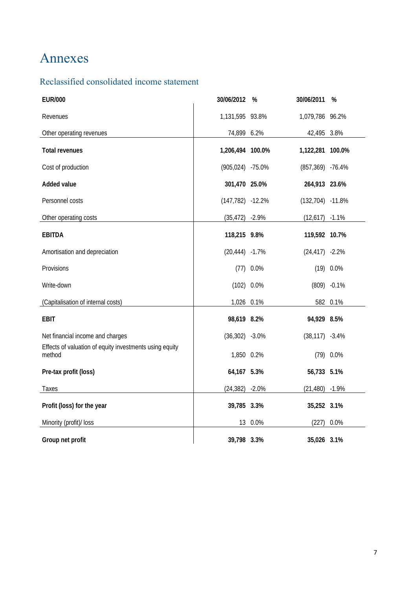## Annexes

### Reclassified consolidated income statement

| <b>EUR/000</b>                                                    | 30/06/2012          | %            | 30/06/2011           | %              |
|-------------------------------------------------------------------|---------------------|--------------|----------------------|----------------|
| Revenues                                                          | 1,131,595 93.8%     |              | 1,079,786 96.2%      |                |
| Other operating revenues                                          | 74,899 6.2%         |              | 42,495 3.8%          |                |
| <b>Total revenues</b>                                             | 1,206,494 100.0%    |              | 1,122,281            | 100.0%         |
| Cost of production                                                | $(905, 024)$ -75.0% |              | $(857, 369)$ -76.4%  |                |
| <b>Added value</b>                                                | 301,470 25.0%       |              | 264,913 23.6%        |                |
| Personnel costs                                                   | $(147, 782) -12.2%$ |              | $(132, 704) -11.8\%$ |                |
| Other operating costs                                             | $(35, 472) -2.9%$   |              | $(12,617) -1.1\%$    |                |
| <b>EBITDA</b>                                                     | 118,215 9.8%        |              | 119,592 10.7%        |                |
| Amortisation and depreciation                                     | $(20, 444) -1.7%$   |              | $(24, 417) -2.2%$    |                |
| Provisions                                                        |                     | $(77)$ 0.0%  |                      | $(19)$ 0.0%    |
| Write-down                                                        |                     | $(102)$ 0.0% |                      | $(809) -0.1\%$ |
| (Capitalisation of internal costs)                                | 1,026 0.1%          |              |                      | 582 0.1%       |
| <b>EBIT</b>                                                       | 98,619 8.2%         |              | 94,929 8.5%          |                |
| Net financial income and charges                                  | $(36,302) -3.0\%$   |              | $(38, 117) -3.4\%$   |                |
| Effects of valuation of equity investments using equity<br>method | 1,850 0.2%          |              |                      | $(79)$ 0.0%    |
| Pre-tax profit (loss)                                             | 64,167 5.3%         |              | 56,733 5.1%          |                |
| Taxes                                                             | $(24, 382) -2.0\%$  |              | (21, 480)            | $-1.9%$        |
| Profit (loss) for the year                                        | 39,785 3.3%         |              | 35,252 3.1%          |                |
| Minority (profit)/ loss                                           | 13                  | 0.0%         | (227)                | 0.0%           |
| Group net profit                                                  | 39,798 3.3%         |              | 35,026 3.1%          |                |